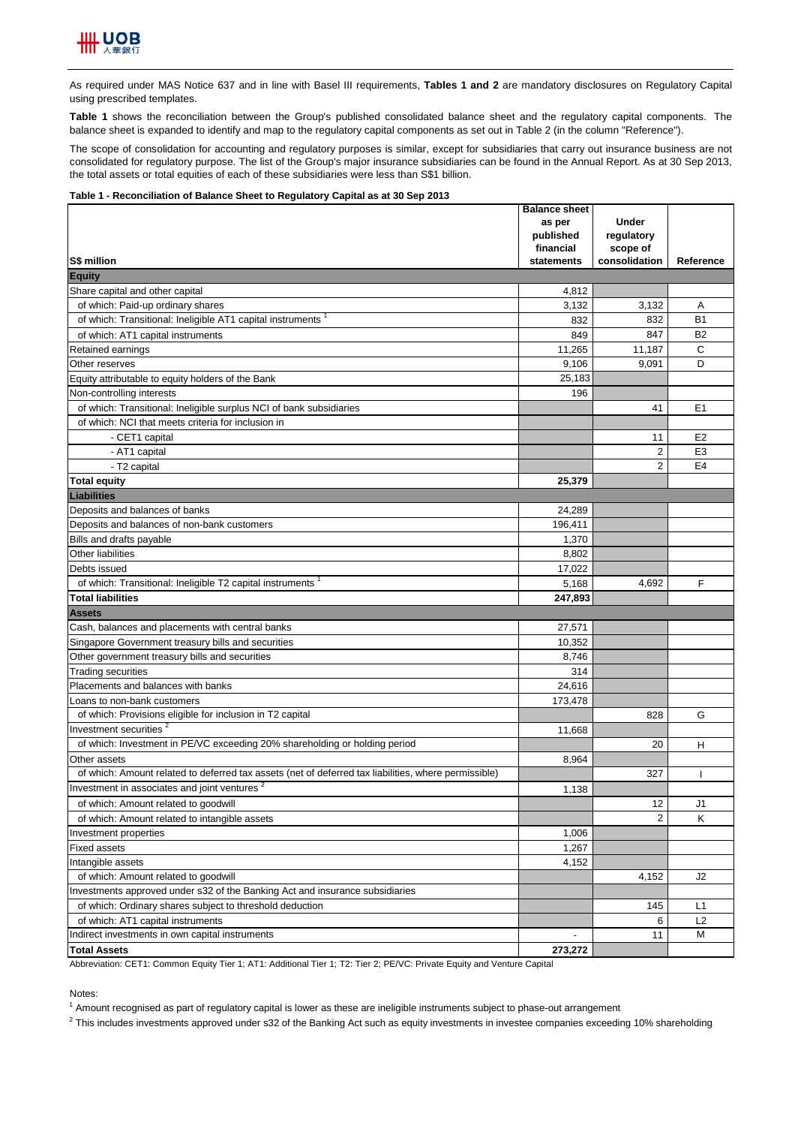

As required under MAS Notice 637 and in line with Basel III requirements, **Tables 1 and 2** are mandatory disclosures on Regulatory Capital using prescribed templates.

**Table 1** shows the reconciliation between the Group's published consolidated balance sheet and the regulatory capital components. The balance sheet is expanded to identify and map to the regulatory capital components as set out in Table 2 (in the column "Reference").

The scope of consolidation for accounting and regulatory purposes is similar, except for subsidiaries that carry out insurance business are not consolidated for regulatory purpose. The list of the Group's major insurance subsidiaries can be found in the Annual Report. As at 30 Sep 2013, the total assets or total equities of each of these subsidiaries were less than S\$1 billion.

#### **Table 1 - Reconciliation of Balance Sheet to Regulatory Capital as at 30 Sep 2013**

|                                                                                                      | <b>Balance sheet</b><br>as per | <b>Under</b>              |                |
|------------------------------------------------------------------------------------------------------|--------------------------------|---------------------------|----------------|
|                                                                                                      | published                      | regulatory                |                |
| S\$ million                                                                                          | financial<br>statements        | scope of<br>consolidation | Reference      |
| <b>Equity</b>                                                                                        |                                |                           |                |
| Share capital and other capital                                                                      | 4,812                          |                           |                |
| of which: Paid-up ordinary shares                                                                    | 3,132                          | 3,132                     | Α              |
| of which: Transitional: Ineligible AT1 capital instruments <sup>1</sup>                              | 832                            | 832                       | <b>B1</b>      |
| of which: AT1 capital instruments                                                                    | 849                            | 847                       | <b>B2</b>      |
| Retained earnings                                                                                    | 11,265                         | 11,187                    | C              |
| Other reserves                                                                                       | 9,106                          | 9,091                     | D              |
| Equity attributable to equity holders of the Bank                                                    | 25,183                         |                           |                |
| Non-controlling interests                                                                            | 196                            |                           |                |
| of which: Transitional: Ineligible surplus NCI of bank subsidiaries                                  |                                | 41                        | E <sub>1</sub> |
| of which: NCI that meets criteria for inclusion in                                                   |                                |                           |                |
| - CET1 capital                                                                                       |                                | 11                        | E <sub>2</sub> |
| - AT1 capital                                                                                        |                                | 2                         | E <sub>3</sub> |
| - T2 capital                                                                                         |                                | $\overline{2}$            | E4             |
| <b>Total equity</b>                                                                                  | 25,379                         |                           |                |
| <b>Liabilities</b>                                                                                   |                                |                           |                |
| Deposits and balances of banks                                                                       | 24,289                         |                           |                |
| Deposits and balances of non-bank customers                                                          | 196,411                        |                           |                |
| Bills and drafts payable                                                                             | 1,370                          |                           |                |
| Other liabilities                                                                                    | 8,802                          |                           |                |
| Debts issued                                                                                         | 17,022                         |                           |                |
| of which: Transitional: Ineligible T2 capital instruments <sup>1</sup>                               | 5,168                          | 4,692                     | F              |
| <b>Total liabilities</b>                                                                             | 247,893                        |                           |                |
| <b>Assets</b>                                                                                        |                                |                           |                |
| Cash, balances and placements with central banks                                                     | 27,571                         |                           |                |
| Singapore Government treasury bills and securities                                                   | 10,352                         |                           |                |
| Other government treasury bills and securities                                                       | 8,746                          |                           |                |
| <b>Trading securities</b>                                                                            | 314                            |                           |                |
| Placements and balances with banks                                                                   | 24,616                         |                           |                |
| Loans to non-bank customers                                                                          | 173,478                        |                           |                |
| of which: Provisions eligible for inclusion in T2 capital                                            |                                | 828                       | G              |
| Investment securities <sup>2</sup>                                                                   | 11,668                         |                           |                |
| of which: Investment in PE/VC exceeding 20% shareholding or holding period                           |                                | 20                        | н              |
| Other assets                                                                                         | 8.964                          |                           |                |
| of which: Amount related to deferred tax assets (net of deferred tax liabilities, where permissible) |                                | 327                       |                |
| Investment in associates and joint ventures <sup>2</sup>                                             | 1,138                          |                           |                |
| of which: Amount related to goodwill                                                                 |                                | 12                        | J1             |
| of which: Amount related to intangible assets                                                        |                                | 2                         | κ              |
| Investment properties                                                                                | 1,006                          |                           |                |
| Fixed assets                                                                                         | 1,267                          |                           |                |
| Intangible assets                                                                                    | 4,152                          |                           |                |
| of which: Amount related to goodwill                                                                 |                                | 4,152                     | J2             |
| Investments approved under s32 of the Banking Act and insurance subsidiaries                         |                                |                           |                |
| of which: Ordinary shares subject to threshold deduction                                             |                                | 145                       | L1             |
| of which: AT1 capital instruments                                                                    |                                | 6                         | L <sub>2</sub> |
| Indirect investments in own capital instruments                                                      |                                | 11                        | M              |
| <b>Total Assets</b>                                                                                  | 273,272                        |                           |                |

Abbreviation: CET1: Common Equity Tier 1; AT1: Additional Tier 1; T2: Tier 2; PE/VC: Private Equity and Venture Capital

### Notes:

<sup>1</sup> Amount recognised as part of regulatory capital is lower as these are ineligible instruments subject to phase-out arrangement

 $^2$  This includes investments approved under s32 of the Banking Act such as equity investments in investee companies exceeding 10% shareholding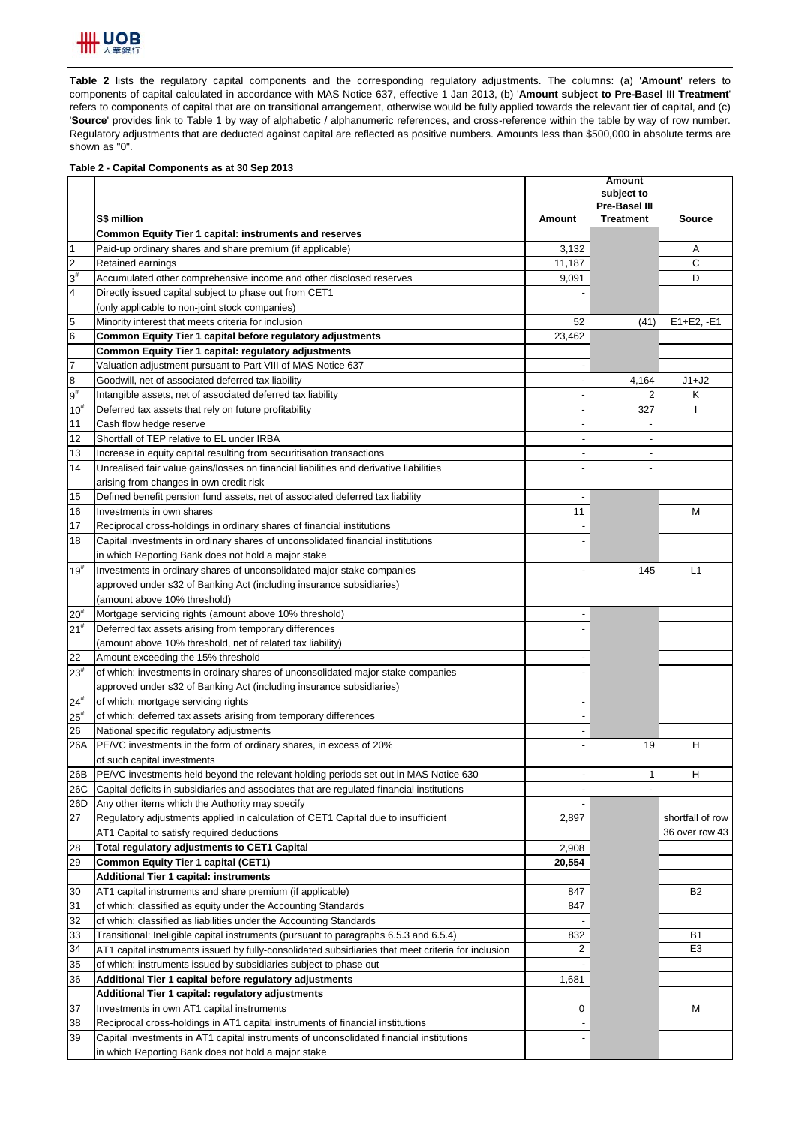

**Table 2** lists the regulatory capital components and the corresponding regulatory adjustments. The columns: (a) '**Amount**' refers to components of capital calculated in accordance with MAS Notice 637, effective 1 Jan 2013, (b) '**Amount subject to Pre-Basel III Treatment**' refers to components of capital that are on transitional arrangement, otherwise would be fully applied towards the relevant tier of capital, and (c) '**Source**' provides link to Table 1 by way of alphabetic / alphanumeric references, and cross-reference within the table by way of row number. Regulatory adjustments that are deducted against capital are reflected as positive numbers. Amounts less than \$500,000 in absolute terms are shown as "0".

### **Table 2 - Capital Components as at 30 Sep 2013**

|                         |                                                                                                    |               | <b>Amount</b><br>subject to |                  |
|-------------------------|----------------------------------------------------------------------------------------------------|---------------|-----------------------------|------------------|
|                         |                                                                                                    |               | Pre-Basel III               |                  |
|                         | S\$ million                                                                                        | <b>Amount</b> | <b>Treatment</b>            | <b>Source</b>    |
|                         | Common Equity Tier 1 capital: instruments and reserves                                             |               |                             |                  |
| $\vert$ 1               | Paid-up ordinary shares and share premium (if applicable)                                          | 3,132         |                             | Α                |
| $\overline{2}$          | Retained earnings                                                                                  | 11,187        |                             | C                |
| $3^{\sharp}$            | Accumulated other comprehensive income and other disclosed reserves                                | 9,091         |                             | D                |
| $\overline{\mathbf{4}}$ | Directly issued capital subject to phase out from CET1                                             |               |                             |                  |
|                         | (only applicable to non-joint stock companies)                                                     |               |                             |                  |
| 5                       | Minority interest that meets criteria for inclusion                                                | 52            | (41)                        | $E1 + E2, -E1$   |
| $\,$ 6                  | Common Equity Tier 1 capital before regulatory adjustments                                         | 23,462        |                             |                  |
|                         | Common Equity Tier 1 capital: regulatory adjustments                                               |               |                             |                  |
| $\overline{7}$          | Valuation adjustment pursuant to Part VIII of MAS Notice 637                                       |               |                             |                  |
| $\bf{8}$                | Goodwill, net of associated deferred tax liability                                                 |               | 4,164                       | $J1+J2$          |
| $9^{\#}$                | Intangible assets, net of associated deferred tax liability                                        |               | 2                           | Κ                |
| $10^{#}$                | Deferred tax assets that rely on future profitability                                              |               | 327                         |                  |
| 11                      | Cash flow hedge reserve                                                                            |               |                             |                  |
| 12                      | Shortfall of TEP relative to EL under IRBA                                                         |               |                             |                  |
| 13                      | Increase in equity capital resulting from securitisation transactions                              |               |                             |                  |
| 14                      | Unrealised fair value gains/losses on financial liabilities and derivative liabilities             |               |                             |                  |
|                         | arising from changes in own credit risk                                                            |               |                             |                  |
| 15                      | Defined benefit pension fund assets, net of associated deferred tax liability                      |               |                             |                  |
| 16                      | Investments in own shares                                                                          | 11            |                             | М                |
| 17                      | Reciprocal cross-holdings in ordinary shares of financial institutions                             |               |                             |                  |
| 18                      | Capital investments in ordinary shares of unconsolidated financial institutions                    |               |                             |                  |
|                         | in which Reporting Bank does not hold a major stake                                                |               |                             |                  |
| $19^{#}$                | Investments in ordinary shares of unconsolidated major stake companies                             |               | 145                         | L1               |
|                         | approved under s32 of Banking Act (including insurance subsidiaries)                               |               |                             |                  |
|                         | (amount above 10% threshold)                                                                       |               |                             |                  |
| $20^{#}$                | Mortgage servicing rights (amount above 10% threshold)                                             |               |                             |                  |
| 21 <sup>#</sup>         | Deferred tax assets arising from temporary differences                                             |               |                             |                  |
|                         | (amount above 10% threshold, net of related tax liability)                                         |               |                             |                  |
| 22                      | Amount exceeding the 15% threshold                                                                 |               |                             |                  |
| $23^{\rm #}$            | of which: investments in ordinary shares of unconsolidated major stake companies                   |               |                             |                  |
|                         | approved under s32 of Banking Act (including insurance subsidiaries)                               |               |                             |                  |
| $24^{\#}$               | of which: mortgage servicing rights                                                                |               |                             |                  |
| $25^{\rm \#}$           | of which: deferred tax assets arising from temporary differences                                   |               |                             |                  |
| 26                      | National specific regulatory adjustments                                                           |               |                             |                  |
| 26A                     | PE/VC investments in the form of ordinary shares, in excess of 20%                                 |               | 19                          | Н                |
|                         | of such capital investments                                                                        |               |                             |                  |
| 26B                     | PE/VC investments held beyond the relevant holding periods set out in MAS Notice 630               |               | $\mathbf{1}$                | Н                |
| 26C                     | Capital deficits in subsidiaries and associates that are regulated financial institutions          |               |                             |                  |
| 26D                     | Any other items which the Authority may specify                                                    |               |                             |                  |
| 27                      | Regulatory adjustments applied in calculation of CET1 Capital due to insufficient                  | 2,897         |                             | shortfall of row |
|                         | AT1 Capital to satisfy required deductions                                                         |               |                             | 36 over row 43   |
| 28                      | Total regulatory adjustments to CET1 Capital                                                       | 2,908         |                             |                  |
| 29                      | Common Equity Tier 1 capital (CET1)                                                                | 20,554        |                             |                  |
|                         | Additional Tier 1 capital: instruments                                                             |               |                             |                  |
| 30                      | AT1 capital instruments and share premium (if applicable)                                          | 847           |                             | B <sub>2</sub>   |
| 31                      | of which: classified as equity under the Accounting Standards                                      | 847           |                             |                  |
| 32                      | of which: classified as liabilities under the Accounting Standards                                 |               |                             |                  |
| 33                      | Transitional: Ineligible capital instruments (pursuant to paragraphs 6.5.3 and 6.5.4)              | 832           |                             | B1               |
| 34                      | AT1 capital instruments issued by fully-consolidated subsidiaries that meet criteria for inclusion | 2             |                             | E <sub>3</sub>   |
| 35                      | of which: instruments issued by subsidiaries subject to phase out                                  |               |                             |                  |
| 36                      | Additional Tier 1 capital before regulatory adjustments                                            | 1,681         |                             |                  |
|                         | Additional Tier 1 capital: regulatory adjustments                                                  |               |                             |                  |
| 37                      | Investments in own AT1 capital instruments                                                         | 0             |                             | M                |
| 38                      | Reciprocal cross-holdings in AT1 capital instruments of financial institutions                     |               |                             |                  |
| 39                      | Capital investments in AT1 capital instruments of unconsolidated financial institutions            |               |                             |                  |
|                         | in which Reporting Bank does not hold a major stake                                                |               |                             |                  |
|                         |                                                                                                    |               |                             |                  |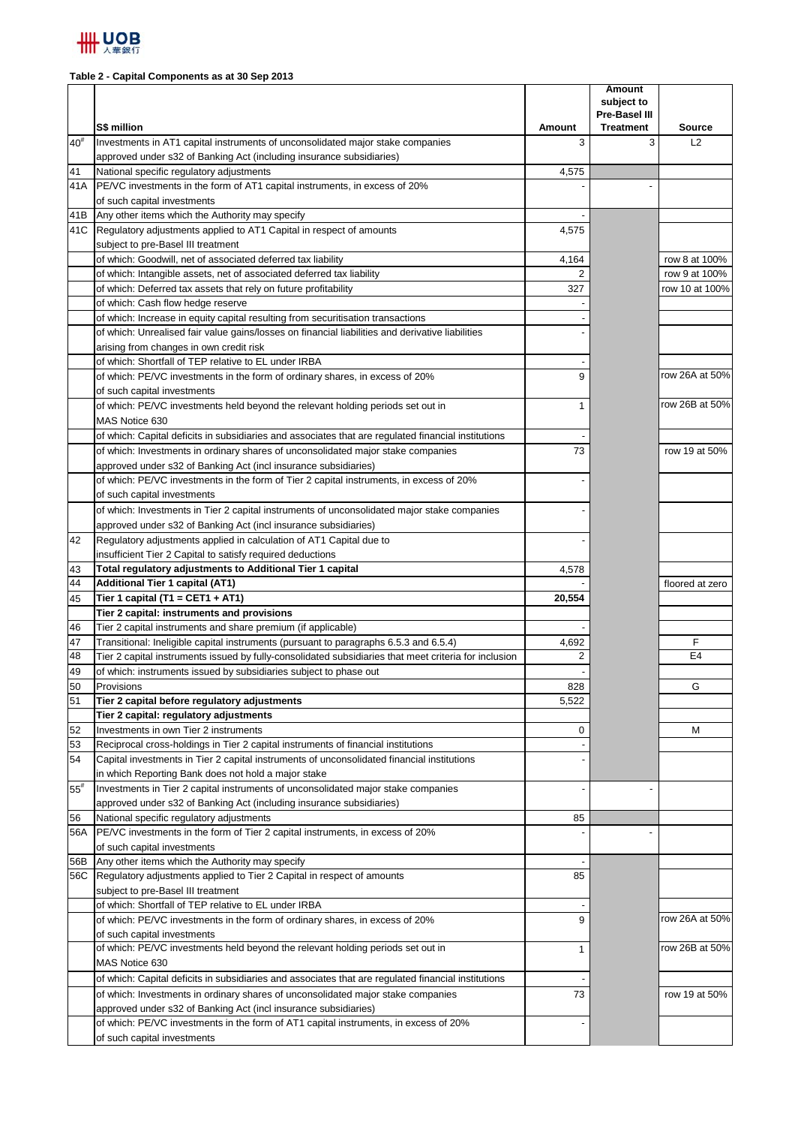

# **Table 2 - Capital Components as at 30 Sep 2013**

|                   |                                                                                                                                                     |              | <b>Amount</b><br>subject to<br>Pre-Basel III |                     |
|-------------------|-----------------------------------------------------------------------------------------------------------------------------------------------------|--------------|----------------------------------------------|---------------------|
| $40^{\texttt{#}}$ | S\$ million<br>Investments in AT1 capital instruments of unconsolidated major stake companies                                                       | Amount<br>3  | <b>Treatment</b><br>3                        | <b>Source</b><br>L2 |
|                   | approved under s32 of Banking Act (including insurance subsidiaries)                                                                                |              |                                              |                     |
| 41                | National specific regulatory adjustments                                                                                                            | 4,575        |                                              |                     |
| 41A               | <b>PE/VC</b> investments in the form of AT1 capital instruments, in excess of 20%                                                                   |              |                                              |                     |
|                   | of such capital investments                                                                                                                         |              |                                              |                     |
| 41B               | Any other items which the Authority may specify                                                                                                     |              |                                              |                     |
|                   | 41C Regulatory adjustments applied to AT1 Capital in respect of amounts                                                                             | 4,575        |                                              |                     |
|                   | subject to pre-Basel III treatment                                                                                                                  |              |                                              |                     |
|                   | of which: Goodwill, net of associated deferred tax liability                                                                                        | 4,164        |                                              | row 8 at 100%       |
|                   | of which: Intangible assets, net of associated deferred tax liability                                                                               | 2            |                                              | row 9 at 100%       |
|                   | of which: Deferred tax assets that rely on future profitability                                                                                     | 327          |                                              | row 10 at 100%      |
|                   | of which: Cash flow hedge reserve                                                                                                                   |              |                                              |                     |
|                   | of which: Increase in equity capital resulting from securitisation transactions                                                                     |              |                                              |                     |
|                   | of which: Unrealised fair value gains/losses on financial liabilities and derivative liabilities                                                    |              |                                              |                     |
|                   | arising from changes in own credit risk                                                                                                             |              |                                              |                     |
|                   | of which: Shortfall of TEP relative to EL under IRBA                                                                                                |              |                                              |                     |
|                   | of which: PE/VC investments in the form of ordinary shares, in excess of 20%                                                                        | 9            |                                              | row 26A at 50%      |
|                   | of such capital investments                                                                                                                         |              |                                              |                     |
|                   | of which: PE/VC investments held beyond the relevant holding periods set out in                                                                     | 1            |                                              | row 26B at 50%      |
|                   | MAS Notice 630                                                                                                                                      |              |                                              |                     |
|                   | of which: Capital deficits in subsidiaries and associates that are regulated financial institutions                                                 |              |                                              |                     |
|                   | of which: Investments in ordinary shares of unconsolidated major stake companies                                                                    | 73           |                                              | row 19 at 50%       |
|                   | approved under s32 of Banking Act (incl insurance subsidiaries)                                                                                     |              |                                              |                     |
|                   | of which: PE/VC investments in the form of Tier 2 capital instruments, in excess of 20%                                                             |              |                                              |                     |
|                   | of such capital investments                                                                                                                         |              |                                              |                     |
|                   | of which: Investments in Tier 2 capital instruments of unconsolidated major stake companies                                                         |              |                                              |                     |
| 42                | approved under s32 of Banking Act (incl insurance subsidiaries)<br>Regulatory adjustments applied in calculation of AT1 Capital due to              |              |                                              |                     |
|                   |                                                                                                                                                     |              |                                              |                     |
| 43                | insufficient Tier 2 Capital to satisfy required deductions<br>Total regulatory adjustments to Additional Tier 1 capital                             | 4,578        |                                              |                     |
| 44                | Additional Tier 1 capital (AT1)                                                                                                                     |              |                                              | floored at zero     |
| 45                | Tier 1 capital (T1 = CET1 + AT1)                                                                                                                    | 20,554       |                                              |                     |
|                   | Tier 2 capital: instruments and provisions                                                                                                          |              |                                              |                     |
| 46                | Tier 2 capital instruments and share premium (if applicable)                                                                                        |              |                                              |                     |
| 47                | Transitional: Ineligible capital instruments (pursuant to paragraphs 6.5.3 and 6.5.4)                                                               | 4,692        |                                              | F                   |
| 48                | Tier 2 capital instruments issued by fully-consolidated subsidiaries that meet criteria for inclusion                                               | 2            |                                              | E4                  |
| 49                | of which: instruments issued by subsidiaries subject to phase out                                                                                   |              |                                              |                     |
| 50                | Provisions                                                                                                                                          | 828          |                                              | G                   |
| 51                | Tier 2 capital before regulatory adjustments                                                                                                        | 5,522        |                                              |                     |
|                   | Tier 2 capital: regulatory adjustments                                                                                                              |              |                                              |                     |
| 52                | Investments in own Tier 2 instruments                                                                                                               | 0            |                                              | M                   |
| 53                | Reciprocal cross-holdings in Tier 2 capital instruments of financial institutions                                                                   |              |                                              |                     |
| 54                | Capital investments in Tier 2 capital instruments of unconsolidated financial institutions                                                          |              |                                              |                     |
|                   | in which Reporting Bank does not hold a major stake                                                                                                 |              |                                              |                     |
| $55^{\rm \#}$     | Investments in Tier 2 capital instruments of unconsolidated major stake companies                                                                   |              |                                              |                     |
|                   | approved under s32 of Banking Act (including insurance subsidiaries)                                                                                |              |                                              |                     |
| 56                | National specific regulatory adjustments                                                                                                            | 85           |                                              |                     |
| 56A               | PE/VC investments in the form of Tier 2 capital instruments, in excess of 20%                                                                       |              |                                              |                     |
|                   | of such capital investments                                                                                                                         |              |                                              |                     |
| 56B               | Any other items which the Authority may specify                                                                                                     |              |                                              |                     |
| 56C               | Regulatory adjustments applied to Tier 2 Capital in respect of amounts                                                                              | 85           |                                              |                     |
|                   | subject to pre-Basel III treatment                                                                                                                  |              |                                              |                     |
|                   | of which: Shortfall of TEP relative to EL under IRBA<br>of which: PE/VC investments in the form of ordinary shares, in excess of 20%                | 9            |                                              | row 26A at 50%      |
|                   |                                                                                                                                                     |              |                                              |                     |
|                   | of such capital investments<br>of which: PE/VC investments held beyond the relevant holding periods set out in                                      | $\mathbf{1}$ |                                              | row 26B at 50%      |
|                   | MAS Notice 630                                                                                                                                      |              |                                              |                     |
|                   |                                                                                                                                                     |              |                                              |                     |
|                   | of which: Capital deficits in subsidiaries and associates that are regulated financial institutions                                                 | 73           |                                              | row 19 at 50%       |
|                   | of which: Investments in ordinary shares of unconsolidated major stake companies<br>approved under s32 of Banking Act (incl insurance subsidiaries) |              |                                              |                     |
|                   | of which: PE/VC investments in the form of AT1 capital instruments, in excess of 20%                                                                |              |                                              |                     |
|                   | of such capital investments                                                                                                                         |              |                                              |                     |
|                   |                                                                                                                                                     |              |                                              |                     |